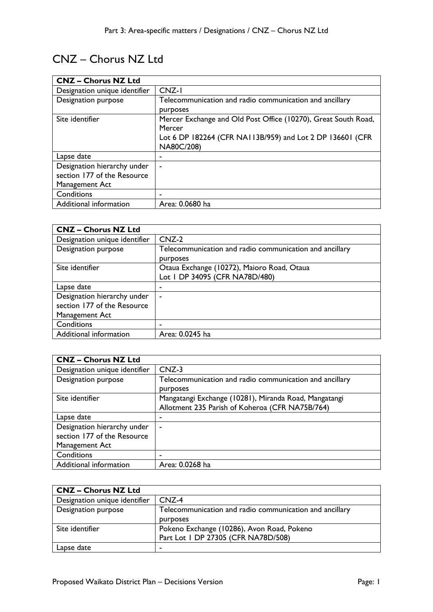# CNZ – Chorus NZ Ltd

| <b>CNZ - Chorus NZ Ltd</b>    |                                                                |
|-------------------------------|----------------------------------------------------------------|
| Designation unique identifier | CNZ-I                                                          |
| Designation purpose           | Telecommunication and radio communication and ancillary        |
|                               | purposes                                                       |
| Site identifier               | Mercer Exchange and Old Post Office (10270), Great South Road, |
|                               | Mercer                                                         |
|                               | Lot 6 DP 182264 (CFR NA113B/959) and Lot 2 DP 136601 (CFR      |
|                               | NA80C/208)                                                     |
| Lapse date                    | -                                                              |
| Designation hierarchy under   |                                                                |
| section 177 of the Resource   |                                                                |
| Management Act                |                                                                |
| Conditions                    |                                                                |
| Additional information        | Area: 0.0680 ha                                                |

| <b>CNZ - Chorus NZ Ltd</b>    |                                                         |
|-------------------------------|---------------------------------------------------------|
| Designation unique identifier | $CNZ-2$                                                 |
| Designation purpose           | Telecommunication and radio communication and ancillary |
|                               | purposes                                                |
| Site identifier               | Otaua Exchange (10272), Maioro Road, Otaua              |
|                               | Lot I DP 34095 (CFR NA78D/480)                          |
| Lapse date                    | ۰                                                       |
| Designation hierarchy under   | $\blacksquare$                                          |
| section 177 of the Resource   |                                                         |
| Management Act                |                                                         |
| Conditions                    | -                                                       |
| Additional information        | Area: 0.0245 ha                                         |

| <b>CNZ - Chorus NZ Ltd</b>                                                   |                                                                                                          |
|------------------------------------------------------------------------------|----------------------------------------------------------------------------------------------------------|
| Designation unique identifier                                                | $CNZ-3$                                                                                                  |
| Designation purpose                                                          | Telecommunication and radio communication and ancillary<br>purposes                                      |
| Site identifier                                                              | Mangatangi Exchange (10281), Miranda Road, Mangatangi<br>Allotment 235 Parish of Koheroa (CFR NA75B/764) |
| Lapse date                                                                   |                                                                                                          |
| Designation hierarchy under<br>section 177 of the Resource<br>Management Act |                                                                                                          |
| Conditions                                                                   |                                                                                                          |
| Additional information                                                       | Area: 0.0268 ha                                                                                          |

| <b>CNZ - Chorus NZ Ltd</b>    |                                                         |
|-------------------------------|---------------------------------------------------------|
| Designation unique identifier | $CNZ-4$                                                 |
| Designation purpose           | Telecommunication and radio communication and ancillary |
|                               | <b>DUPPOSES</b>                                         |
| Site identifier               | Pokeno Exchange (10286), Avon Road, Pokeno              |
|                               | Part Lot 1 DP 27305 (CFR NA78D/508)                     |
| Lapse date                    |                                                         |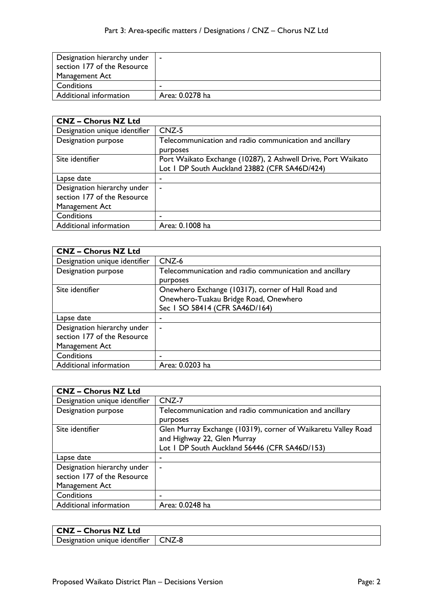| Designation hierarchy under<br>section 177 of the Resource<br>Management Act | $\sim$          |
|------------------------------------------------------------------------------|-----------------|
| Conditions                                                                   |                 |
| Additional information                                                       | Area: 0.0278 ha |

| <b>CNZ - Chorus NZ Ltd</b>                                 |                                                                                                               |
|------------------------------------------------------------|---------------------------------------------------------------------------------------------------------------|
| Designation unique identifier                              | $CNZ-5$                                                                                                       |
| Designation purpose                                        | Telecommunication and radio communication and ancillary<br>purposes                                           |
| Site identifier                                            | Port Waikato Exchange (10287), 2 Ashwell Drive, Port Waikato<br>Lot I DP South Auckland 23882 (CFR SA46D/424) |
| Lapse date                                                 | ۰                                                                                                             |
| Designation hierarchy under<br>section 177 of the Resource | ۰                                                                                                             |
| Management Act                                             |                                                                                                               |
| Conditions                                                 |                                                                                                               |
| Additional information                                     | Area: 0.1008 ha                                                                                               |

| <b>CNZ - Chorus NZ Ltd</b>                                                   |                                                                                                                               |
|------------------------------------------------------------------------------|-------------------------------------------------------------------------------------------------------------------------------|
| Designation unique identifier                                                | CNZ-6                                                                                                                         |
| Designation purpose                                                          | Telecommunication and radio communication and ancillary<br>purposes                                                           |
| Site identifier                                                              | Onewhero Exchange (10317), corner of Hall Road and<br>Onewhero-Tuakau Bridge Road, Onewhero<br>Sec 1 SO 58414 (CFR SA46D/164) |
| Lapse date                                                                   | ۰                                                                                                                             |
| Designation hierarchy under<br>section 177 of the Resource<br>Management Act | ۰                                                                                                                             |
| Conditions                                                                   | -                                                                                                                             |
| Additional information                                                       | Area: 0.0203 ha                                                                                                               |

| <b>CNZ - Chorus NZ Ltd</b>                                                   |                                                                                                                                               |
|------------------------------------------------------------------------------|-----------------------------------------------------------------------------------------------------------------------------------------------|
| Designation unique identifier                                                | $CNZ-7$                                                                                                                                       |
| Designation purpose                                                          | Telecommunication and radio communication and ancillary<br>purposes                                                                           |
| Site identifier                                                              | Glen Murray Exchange (10319), corner of Waikaretu Valley Road<br>and Highway 22, Glen Murray<br>Lot I DP South Auckland 56446 (CFR SA46D/153) |
| Lapse date                                                                   |                                                                                                                                               |
| Designation hierarchy under<br>section 177 of the Resource<br>Management Act | $\sim$                                                                                                                                        |
| Conditions                                                                   |                                                                                                                                               |
| Additional information                                                       | Area: 0.0248 ha                                                                                                                               |

| <b>CNZ - Chorus NZ Ltd</b>    |         |
|-------------------------------|---------|
| Designation unique identifier | I CNZ-8 |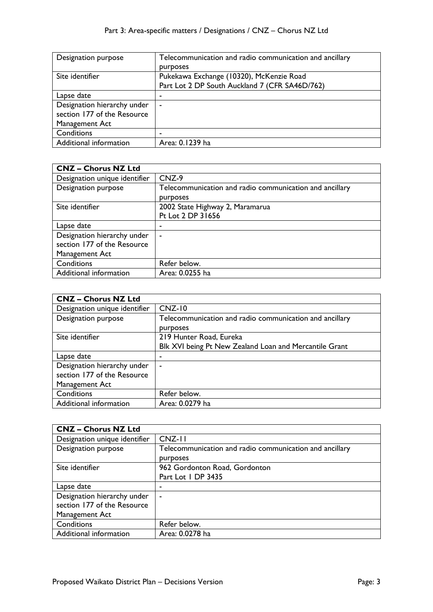| Designation purpose         | Telecommunication and radio communication and ancillary |
|-----------------------------|---------------------------------------------------------|
|                             | purposes                                                |
| Site identifier             | Pukekawa Exchange (10320), McKenzie Road                |
|                             | Part Lot 2 DP South Auckland 7 (CFR SA46D/762)          |
| Lapse date                  |                                                         |
| Designation hierarchy under | ۰                                                       |
| section 177 of the Resource |                                                         |
| Management Act              |                                                         |
| Conditions                  |                                                         |
| Additional information      | Area: 0.1239 ha                                         |

| <b>CNZ - Chorus NZ Ltd</b>    |                                                         |
|-------------------------------|---------------------------------------------------------|
| Designation unique identifier | CNZ-9                                                   |
| <b>Designation purpose</b>    | Telecommunication and radio communication and ancillary |
|                               | purposes                                                |
| Site identifier               | 2002 State Highway 2, Maramarua                         |
|                               | Pt Lot 2 DP 31656                                       |
| Lapse date                    | ۰                                                       |
| Designation hierarchy under   | ٠                                                       |
| section 177 of the Resource   |                                                         |
| Management Act                |                                                         |
| Conditions                    | Refer below.                                            |
| Additional information        | Area: 0.0255 ha                                         |

| <b>CNZ - Chorus NZ Ltd</b>    |                                                         |
|-------------------------------|---------------------------------------------------------|
| Designation unique identifier | $CNZ-10$                                                |
| Designation purpose           | Telecommunication and radio communication and ancillary |
|                               | purposes                                                |
| Site identifier               | 219 Hunter Road, Eureka                                 |
|                               | Blk XVI being Pt New Zealand Loan and Mercantile Grant  |
| Lapse date                    | ۰                                                       |
| Designation hierarchy under   | ۰                                                       |
| section 177 of the Resource   |                                                         |
| Management Act                |                                                         |
| Conditions                    | Refer below.                                            |
| Additional information        | Area: 0.0279 ha                                         |
|                               |                                                         |

| <b>CNZ - Chorus NZ Ltd</b>    |                                                         |
|-------------------------------|---------------------------------------------------------|
| Designation unique identifier | $CNZ-11$                                                |
| Designation purpose           | Telecommunication and radio communication and ancillary |
|                               | purposes                                                |
| Site identifier               | 962 Gordonton Road, Gordonton                           |
|                               | Part Lot 1 DP 3435                                      |
| Lapse date                    |                                                         |
| Designation hierarchy under   |                                                         |
| section 177 of the Resource   |                                                         |
| Management Act                |                                                         |
| Conditions                    | Refer below.                                            |
| Additional information        | Area: 0.0278 ha                                         |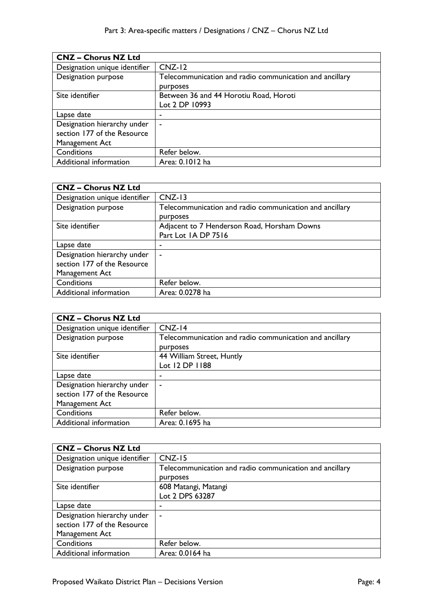| <b>CNZ - Chorus NZ Ltd</b>    |                                                         |
|-------------------------------|---------------------------------------------------------|
| Designation unique identifier | $CNZ-12$                                                |
| Designation purpose           | Telecommunication and radio communication and ancillary |
|                               | purposes                                                |
| Site identifier               | Between 36 and 44 Horotiu Road, Horoti                  |
|                               | Lot 2 DP 10993                                          |
| Lapse date                    | -                                                       |
| Designation hierarchy under   | $\blacksquare$                                          |
| section 177 of the Resource   |                                                         |
| Management Act                |                                                         |
| Conditions                    | Refer below.                                            |
| Additional information        | Area: 0.1012 ha                                         |

| <b>CNZ - Chorus NZ Ltd</b>    |                                                         |
|-------------------------------|---------------------------------------------------------|
| Designation unique identifier | $CNZ-13$                                                |
| Designation purpose           | Telecommunication and radio communication and ancillary |
|                               | purposes                                                |
| Site identifier               | Adjacent to 7 Henderson Road, Horsham Downs             |
|                               | Part Lot IA DP 7516                                     |
| Lapse date                    |                                                         |
| Designation hierarchy under   |                                                         |
| section 177 of the Resource   |                                                         |
| Management Act                |                                                         |
| Conditions                    | Refer below.                                            |
| Additional information        | Area: 0.0278 ha                                         |

| <b>CNZ - Chorus NZ Ltd</b>    |                                                                     |
|-------------------------------|---------------------------------------------------------------------|
| Designation unique identifier | $CNZ-14$                                                            |
| Designation purpose           | Telecommunication and radio communication and ancillary<br>purposes |
| Site identifier               | 44 William Street, Huntly                                           |
|                               | Lot 12 DP 1188                                                      |
| Lapse date                    |                                                                     |
| Designation hierarchy under   | $\blacksquare$                                                      |
| section 177 of the Resource   |                                                                     |
| Management Act                |                                                                     |
| Conditions                    | Refer below.                                                        |
| Additional information        | Area: 0.1695 ha                                                     |

| <b>CNZ - Chorus NZ Ltd</b>    |                                                                     |
|-------------------------------|---------------------------------------------------------------------|
| Designation unique identifier | $CNZ-15$                                                            |
| Designation purpose           | Telecommunication and radio communication and ancillary<br>purposes |
| Site identifier               | 608 Matangi, Matangi                                                |
|                               | Lot 2 DPS 63287                                                     |
| Lapse date                    |                                                                     |
| Designation hierarchy under   | $\overline{\phantom{a}}$                                            |
| section 177 of the Resource   |                                                                     |
| Management Act                |                                                                     |
| Conditions                    | Refer below.                                                        |
| Additional information        | Area: 0.0164 ha                                                     |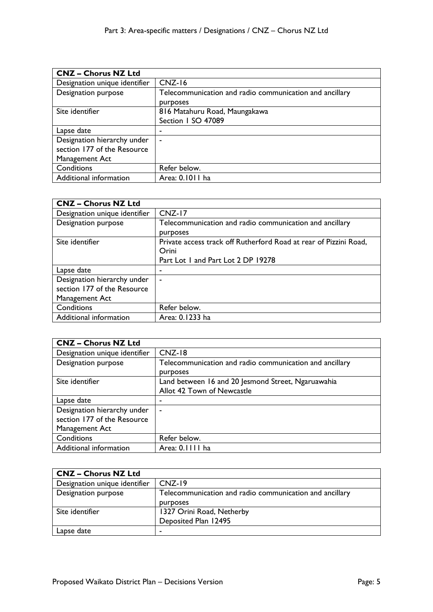| <b>CNZ - Chorus NZ Ltd</b>    |                                                         |
|-------------------------------|---------------------------------------------------------|
| Designation unique identifier | $CNZ-16$                                                |
| <b>Designation purpose</b>    | Telecommunication and radio communication and ancillary |
|                               | purposes                                                |
| Site identifier               | 816 Matahuru Road, Maungakawa                           |
|                               | Section I SO 47089                                      |
| Lapse date                    |                                                         |
| Designation hierarchy under   | $\blacksquare$                                          |
| section 177 of the Resource   |                                                         |
| Management Act                |                                                         |
| Conditions                    | Refer below.                                            |
| Additional information        | Area: 0.1011 ha                                         |

| <b>CNZ - Chorus NZ Ltd</b>                                                   |                                                                                                                  |
|------------------------------------------------------------------------------|------------------------------------------------------------------------------------------------------------------|
| Designation unique identifier                                                | $CNZ-17$                                                                                                         |
| Designation purpose                                                          | Telecommunication and radio communication and ancillary<br>purposes                                              |
| Site identifier                                                              | Private access track off Rutherford Road at rear of Pizzini Road,<br>Orini<br>Part Lot 1 and Part Lot 2 DP 19278 |
| Lapse date                                                                   |                                                                                                                  |
| Designation hierarchy under<br>section 177 of the Resource<br>Management Act | ۰                                                                                                                |
| Conditions                                                                   | Refer below.                                                                                                     |
| Additional information                                                       | Area: 0.1233 ha                                                                                                  |

| <b>CNZ - Chorus NZ Ltd</b>    |                                                                     |
|-------------------------------|---------------------------------------------------------------------|
| Designation unique identifier | $CNZ-18$                                                            |
| Designation purpose           | Telecommunication and radio communication and ancillary<br>purposes |
| Site identifier               | Land between 16 and 20 Jesmond Street, Ngaruawahia                  |
|                               | Allot 42 Town of Newcastle                                          |
| Lapse date                    | ۰                                                                   |
| Designation hierarchy under   | ٠                                                                   |
| section 177 of the Resource   |                                                                     |
| Management Act                |                                                                     |
| Conditions                    | Refer below.                                                        |
| Additional information        | Area: 0.1111 ha                                                     |

| <b>CNZ - Chorus NZ Ltd</b>    |                                                         |
|-------------------------------|---------------------------------------------------------|
| Designation unique identifier | $CNZ-19$                                                |
| Designation purpose           | Telecommunication and radio communication and ancillary |
|                               | purposes                                                |
| Site identifier               | 1327 Orini Road, Netherby                               |
|                               | Deposited Plan 12495                                    |
| Lapse date                    |                                                         |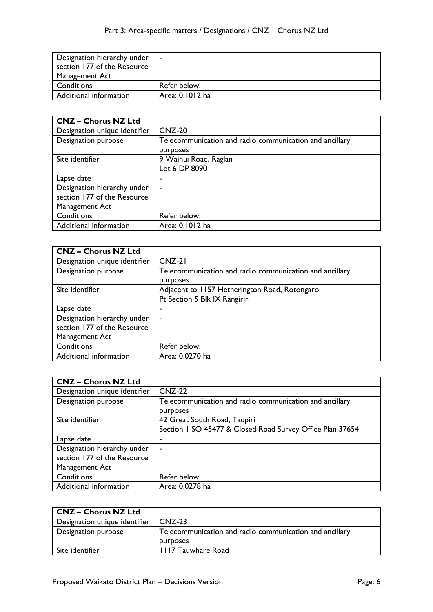| Designation hierarchy under | $\sim$          |
|-----------------------------|-----------------|
| section 177 of the Resource |                 |
| Management Act              |                 |
| Conditions                  | Refer below.    |
| Additional information      | Area: 0.1012 ha |

| <b>CNZ - Chorus NZ Ltd</b>    |                                                         |
|-------------------------------|---------------------------------------------------------|
| Designation unique identifier | $CNZ-20$                                                |
| Designation purpose           | Telecommunication and radio communication and ancillary |
|                               | purposes                                                |
| Site identifier               | 9 Wainui Road, Raglan                                   |
|                               | Lot 6 DP 8090                                           |
| Lapse date                    | ۰                                                       |
| Designation hierarchy under   | ٠                                                       |
| section 177 of the Resource   |                                                         |
| Management Act                |                                                         |
| Conditions                    | Refer below.                                            |
| Additional information        | Area: 0.1012 ha                                         |

| <b>CNZ - Chorus NZ Ltd</b>    |                                                         |
|-------------------------------|---------------------------------------------------------|
| Designation unique identifier | $CNZ-21$                                                |
| Designation purpose           | Telecommunication and radio communication and ancillary |
|                               | purposes                                                |
| Site identifier               | Adjacent to 1157 Hetherington Road, Rotongaro           |
|                               | Pt Section 5 Blk IX Rangiriri                           |
| Lapse date                    | ۰                                                       |
| Designation hierarchy under   | ٠                                                       |
| section 177 of the Resource   |                                                         |
| Management Act                |                                                         |
| Conditions                    | Refer below.                                            |
| Additional information        | Area: 0.0270 ha                                         |

| <b>CNZ - Chorus NZ Ltd</b>    |                                                           |
|-------------------------------|-----------------------------------------------------------|
| Designation unique identifier | $CNZ-22$                                                  |
| Designation purpose           | Telecommunication and radio communication and ancillary   |
|                               | purposes                                                  |
| Site identifier               | 42 Great South Road, Taupiri                              |
|                               | Section 1 SO 45477 & Closed Road Survey Office Plan 37654 |
| Lapse date                    |                                                           |
| Designation hierarchy under   |                                                           |
| section 177 of the Resource   |                                                           |
| Management Act                |                                                           |
| Conditions                    | Refer below.                                              |
| Additional information        | Area: 0.0278 ha                                           |

| <b>CNZ - Chorus NZ Ltd</b>    |                                                         |
|-------------------------------|---------------------------------------------------------|
| Designation unique identifier | $CNZ-23$                                                |
| Designation purpose           | Telecommunication and radio communication and ancillary |
|                               | <b>DULDOSES</b>                                         |
| Site identifier               | <b>1117 Tauwhare Road</b>                               |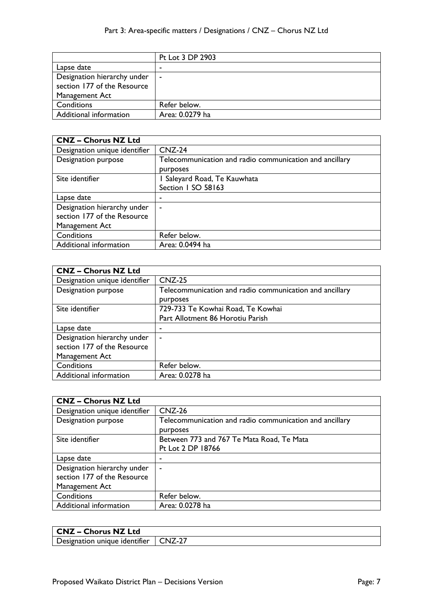|                                                            | Pt Lot 3 DP 2903 |
|------------------------------------------------------------|------------------|
| Lapse date                                                 |                  |
| Designation hierarchy under<br>section 177 of the Resource | $\sim$           |
| Management Act                                             |                  |
| Conditions                                                 | Refer below.     |
| Additional information                                     | Area: 0.0279 ha  |

| <b>CNZ - Chorus NZ Ltd</b>    |                                                         |
|-------------------------------|---------------------------------------------------------|
| Designation unique identifier | $CNZ-24$                                                |
| Designation purpose           | Telecommunication and radio communication and ancillary |
|                               | purposes                                                |
| Site identifier               | I Saleyard Road, Te Kauwhata                            |
|                               | Section I SO 58163                                      |
| Lapse date                    | ٠                                                       |
| Designation hierarchy under   | ۰                                                       |
| section 177 of the Resource   |                                                         |
| Management Act                |                                                         |
| Conditions                    | Refer below.                                            |
| Additional information        | Area: 0.0494 ha                                         |

| <b>CNZ - Chorus NZ Ltd</b>    |                                                         |
|-------------------------------|---------------------------------------------------------|
| Designation unique identifier | $CNZ-25$                                                |
| Designation purpose           | Telecommunication and radio communication and ancillary |
|                               | purposes                                                |
| Site identifier               | 729-733 Te Kowhai Road, Te Kowhai                       |
|                               | Part Allotment 86 Horotiu Parish                        |
| Lapse date                    |                                                         |
| Designation hierarchy under   | $\blacksquare$                                          |
| section 177 of the Resource   |                                                         |
| Management Act                |                                                         |
| Conditions                    | Refer below.                                            |
| Additional information        | Area: 0.0278 ha                                         |

| <b>CNZ - Chorus NZ Ltd</b>    |                                                         |
|-------------------------------|---------------------------------------------------------|
| Designation unique identifier | $CNZ-26$                                                |
| Designation purpose           | Telecommunication and radio communication and ancillary |
|                               | <b>DULDOSES</b>                                         |
| Site identifier               | Between 773 and 767 Te Mata Road, Te Mata               |
|                               | Pt Lot 2 DP 18766                                       |
| Lapse date                    |                                                         |
| Designation hierarchy under   |                                                         |
| section 177 of the Resource   |                                                         |
| Management Act                |                                                         |
| Conditions                    | Refer below.                                            |
| Additional information        | Area: 0.0278 ha                                         |

| <b>CNZ - Chorus NZ Ltd</b>                                 |  |
|------------------------------------------------------------|--|
| $^{\prime}$ Designation unique identifier $\,$ CNZ-27 $\,$ |  |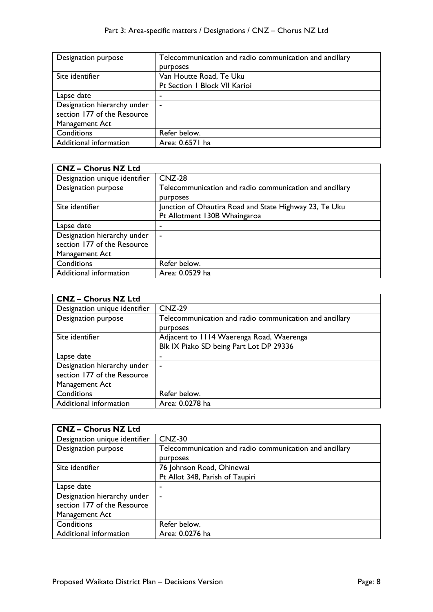| Designation purpose         | Telecommunication and radio communication and ancillary |
|-----------------------------|---------------------------------------------------------|
|                             | purposes                                                |
| Site identifier             | Van Houtte Road, Te Uku                                 |
|                             | Pt Section 1 Block VII Karioi                           |
| Lapse date                  |                                                         |
| Designation hierarchy under | $\sim$                                                  |
| section 177 of the Resource |                                                         |
| Management Act              |                                                         |
| Conditions                  | Refer below.                                            |
| Additional information      | Area: 0.6571 ha                                         |

| <b>CNZ - Chorus NZ Ltd</b>    |                                                         |
|-------------------------------|---------------------------------------------------------|
| Designation unique identifier | $CNZ-28$                                                |
| <b>Designation purpose</b>    | Telecommunication and radio communication and ancillary |
|                               | purposes                                                |
| Site identifier               | Junction of Ohautira Road and State Highway 23, Te Uku  |
|                               | Pt Allotment 130B Whaingaroa                            |
| Lapse date                    | ۰                                                       |
| Designation hierarchy under   | $\overline{\phantom{a}}$                                |
| section 177 of the Resource   |                                                         |
| Management Act                |                                                         |
| Conditions                    | Refer below.                                            |
| Additional information        | Area: 0.0529 ha                                         |

| $CNZ-29$                                                |
|---------------------------------------------------------|
| Telecommunication and radio communication and ancillary |
| purposes                                                |
| Adjacent to 1114 Waerenga Road, Waerenga                |
| Blk IX Piako SD being Part Lot DP 29336                 |
| ۰                                                       |
| ۰                                                       |
|                                                         |
|                                                         |
| Refer below.                                            |
| Area: 0.0278 ha                                         |
|                                                         |

| <b>CNZ - Chorus NZ Ltd</b>    |                                                         |
|-------------------------------|---------------------------------------------------------|
| Designation unique identifier | $CNZ-30$                                                |
| Designation purpose           | Telecommunication and radio communication and ancillary |
|                               | purposes                                                |
| Site identifier               | 76 Johnson Road, Ohinewai                               |
|                               | Pt Allot 348, Parish of Taupiri                         |
| Lapse date                    |                                                         |
| Designation hierarchy under   | ٠                                                       |
| section 177 of the Resource   |                                                         |
| Management Act                |                                                         |
| Conditions                    | Refer below.                                            |
| Additional information        | Area: 0.0276 ha                                         |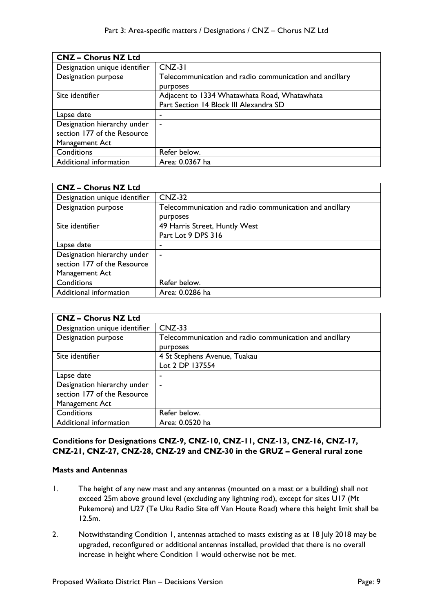| <b>CNZ - Chorus NZ Ltd</b>    |                                                         |
|-------------------------------|---------------------------------------------------------|
| Designation unique identifier | $CNZ-31$                                                |
| Designation purpose           | Telecommunication and radio communication and ancillary |
|                               | purposes                                                |
| Site identifier               | Adjacent to 1334 Whatawhata Road, Whatawhata            |
|                               | Part Section 14 Block III Alexandra SD                  |
| Lapse date                    |                                                         |
| Designation hierarchy under   | ۰                                                       |
| section 177 of the Resource   |                                                         |
| Management Act                |                                                         |
| Conditions                    | Refer below.                                            |
| Additional information        | Area: 0.0367 ha                                         |

| <b>CNZ - Chorus NZ Ltd</b>    |                                                         |
|-------------------------------|---------------------------------------------------------|
| Designation unique identifier | $CNZ-32$                                                |
| Designation purpose           | Telecommunication and radio communication and ancillary |
|                               | purposes                                                |
| Site identifier               | 49 Harris Street, Huntly West                           |
|                               | Part Lot 9 DPS 316                                      |
| Lapse date                    |                                                         |
| Designation hierarchy under   |                                                         |
| section 177 of the Resource   |                                                         |
| Management Act                |                                                         |
| Conditions                    | Refer below.                                            |
| Additional information        | Area: 0.0286 ha                                         |

| <b>CNZ - Chorus NZ Ltd</b>    |                                                         |
|-------------------------------|---------------------------------------------------------|
| Designation unique identifier | $CNZ-33$                                                |
| Designation purpose           | Telecommunication and radio communication and ancillary |
|                               | purposes                                                |
| Site identifier               | 4 St Stephens Avenue, Tuakau                            |
|                               | Lot 2 DP 137554                                         |
| Lapse date                    | ٠                                                       |
| Designation hierarchy under   | ۰                                                       |
| section 177 of the Resource   |                                                         |
| Management Act                |                                                         |
| Conditions                    | Refer below.                                            |
| Additional information        | Area: 0.0520 ha                                         |

## **Conditions for Designations CNZ-9, CNZ-10, CNZ-11, CNZ-13, CNZ-16, CNZ-17, CNZ-21, CNZ-27, CNZ-28, CNZ-29 and CNZ-30 in the GRUZ – General rural zone**

## **Masts and Antennas**

- 1. The height of any new mast and any antennas (mounted on a mast or a building) shall not exceed 25m above ground level (excluding any lightning rod), except for sites U17 (Mt Pukemore) and U27 (Te Uku Radio Site off Van Houte Road) where this height limit shall be 12.5m.
- 2. Notwithstanding Condition 1, antennas attached to masts existing as at 18 July 2018 may be upgraded, reconfigured or additional antennas installed, provided that there is no overall increase in height where Condition 1 would otherwise not be met.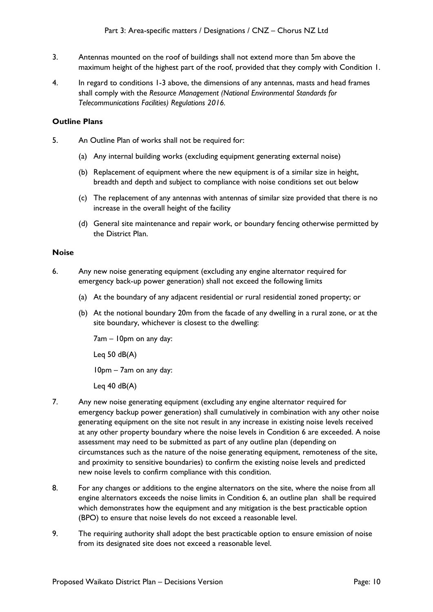- 3. Antennas mounted on the roof of buildings shall not extend more than 5m above the maximum height of the highest part of the roof, provided that they comply with Condition 1.
- 4. In regard to conditions 1-3 above, the dimensions of any antennas, masts and head frames shall comply with the *Resource Management (National Environmental Standards for Telecommunications Facilities) Regulations 2016.*

## **Outline Plans**

- 5. An Outline Plan of works shall not be required for:
	- (a) Any internal building works (excluding equipment generating external noise)
	- (b) Replacement of equipment where the new equipment is of a similar size in height, breadth and depth and subject to compliance with noise conditions set out below
	- (c) The replacement of any antennas with antennas of similar size provided that there is no increase in the overall height of the facility
	- (d) General site maintenance and repair work, or boundary fencing otherwise permitted by the District Plan.

#### **Noise**

- 6. Any new noise generating equipment (excluding any engine alternator required for emergency back-up power generation) shall not exceed the following limits
	- (a) At the boundary of any adjacent residential or rural residential zoned property; or
	- (b) At the notional boundary 20m from the facade of any dwelling in a rural zone, or at the site boundary, whichever is closest to the dwelling:

7am – 10pm on any day:

Leg  $50$  dB(A)

10pm – 7am on any day:

Leg  $40$  dB(A)

- 7. Any new noise generating equipment (excluding any engine alternator required for emergency backup power generation) shall cumulatively in combination with any other noise generating equipment on the site not result in any increase in existing noise levels received at any other property boundary where the noise levels in Condition 6 are exceeded. A noise assessment may need to be submitted as part of any outline plan (depending on circumstances such as the nature of the noise generating equipment, remoteness of the site, and proximity to sensitive boundaries) to confirm the existing noise levels and predicted new noise levels to confirm compliance with this condition.
- 8. For any changes or additions to the engine alternators on the site, where the noise from all engine alternators exceeds the noise limits in Condition 6, an outline plan shall be required which demonstrates how the equipment and any mitigation is the best practicable option (BPO) to ensure that noise levels do not exceed a reasonable level.
- 9. The requiring authority shall adopt the best practicable option to ensure emission of noise from its designated site does not exceed a reasonable level.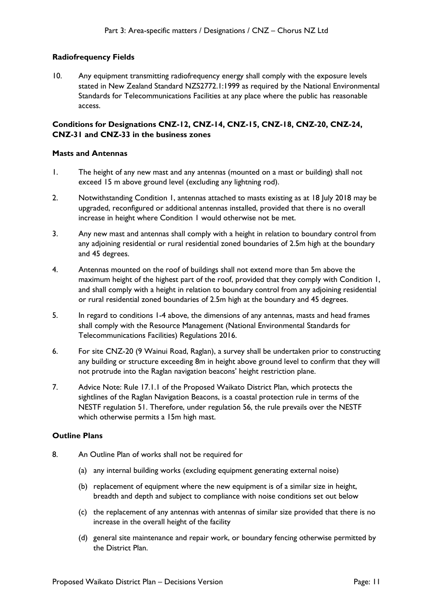## **Radiofrequency Fields**

10. Any equipment transmitting radiofrequency energy shall comply with the exposure levels stated in New Zealand Standard NZS2772.1:1999 as required by the National Environmental Standards for Telecommunications Facilities at any place where the public has reasonable access.

## **Conditions for Designations CNZ-12, CNZ-14, CNZ-15, CNZ-18, CNZ-20, CNZ-24, CNZ-31 and CNZ-33 in the business zones**

#### **Masts and Antennas**

- 1. The height of any new mast and any antennas (mounted on a mast or building) shall not exceed 15 m above ground level (excluding any lightning rod).
- 2. Notwithstanding Condition 1, antennas attached to masts existing as at 18 July 2018 may be upgraded, reconfigured or additional antennas installed, provided that there is no overall increase in height where Condition 1 would otherwise not be met.
- 3. Any new mast and antennas shall comply with a height in relation to boundary control from any adjoining residential or rural residential zoned boundaries of 2.5m high at the boundary and 45 degrees.
- 4. Antennas mounted on the roof of buildings shall not extend more than 5m above the maximum height of the highest part of the roof, provided that they comply with Condition 1, and shall comply with a height in relation to boundary control from any adjoining residential or rural residential zoned boundaries of 2.5m high at the boundary and 45 degrees.
- 5. In regard to conditions 1-4 above, the dimensions of any antennas, masts and head frames shall comply with the Resource Management (National Environmental Standards for Telecommunications Facilities) Regulations 2016.
- 6. For site CNZ-20 (9 Wainui Road, Raglan), a survey shall be undertaken prior to constructing any building or structure exceeding 8m in height above ground level to confirm that they will not protrude into the Raglan navigation beacons' height restriction plane.
- 7. Advice Note: Rule 17.1.1 of the Proposed Waikato District Plan, which protects the sightlines of the Raglan Navigation Beacons, is a coastal protection rule in terms of the NESTF regulation 51. Therefore, under regulation 56, the rule prevails over the NESTF which otherwise permits a 15m high mast.

#### **Outline Plans**

- 8. An Outline Plan of works shall not be required for
	- (a) any internal building works (excluding equipment generating external noise)
	- (b) replacement of equipment where the new equipment is of a similar size in height, breadth and depth and subject to compliance with noise conditions set out below
	- (c) the replacement of any antennas with antennas of similar size provided that there is no increase in the overall height of the facility
	- (d) general site maintenance and repair work, or boundary fencing otherwise permitted by the District Plan.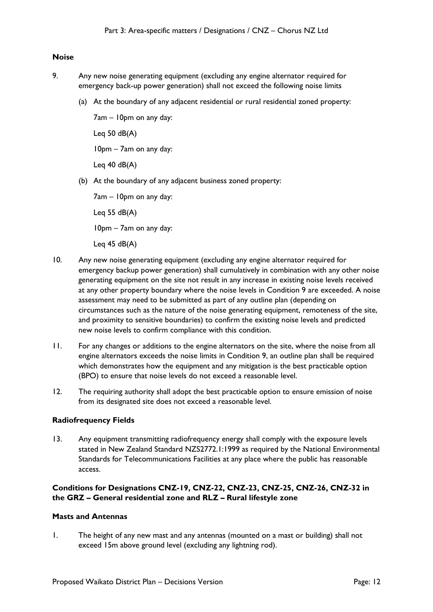#### **Noise**

- 9. Any new noise generating equipment (excluding any engine alternator required for emergency back-up power generation) shall not exceed the following noise limits
	- (a) At the boundary of any adjacent residential or rural residential zoned property:

7am – 10pm on any day: Leg  $50$  dB(A) 10pm – 7am on any day:

Leg  $40$  dB $(A)$ 

(b) At the boundary of any adjacent business zoned property:

7am – 10pm on any day:

Leg  $55$  dB(A)

10pm – 7am on any day:

Leg  $45$  dB(A)

- 10. Any new noise generating equipment (excluding any engine alternator required for emergency backup power generation) shall cumulatively in combination with any other noise generating equipment on the site not result in any increase in existing noise levels received at any other property boundary where the noise levels in Condition 9 are exceeded. A noise assessment may need to be submitted as part of any outline plan (depending on circumstances such as the nature of the noise generating equipment, remoteness of the site, and proximity to sensitive boundaries) to confirm the existing noise levels and predicted new noise levels to confirm compliance with this condition.
- 11. For any changes or additions to the engine alternators on the site, where the noise from all engine alternators exceeds the noise limits in Condition 9, an outline plan shall be required which demonstrates how the equipment and any mitigation is the best practicable option (BPO) to ensure that noise levels do not exceed a reasonable level.
- 12. The requiring authority shall adopt the best practicable option to ensure emission of noise from its designated site does not exceed a reasonable level.

#### **Radiofrequency Fields**

13. Any equipment transmitting radiofrequency energy shall comply with the exposure levels stated in New Zealand Standard NZS2772.1:1999 as required by the National Environmental Standards for Telecommunications Facilities at any place where the public has reasonable access.

## **Conditions for Designations CNZ-19, CNZ-22, CNZ-23, CNZ-25, CNZ-26, CNZ-32 in the GRZ – General residential zone and RLZ – Rural lifestyle zone**

#### **Masts and Antennas**

1. The height of any new mast and any antennas (mounted on a mast or building) shall not exceed 15m above ground level (excluding any lightning rod).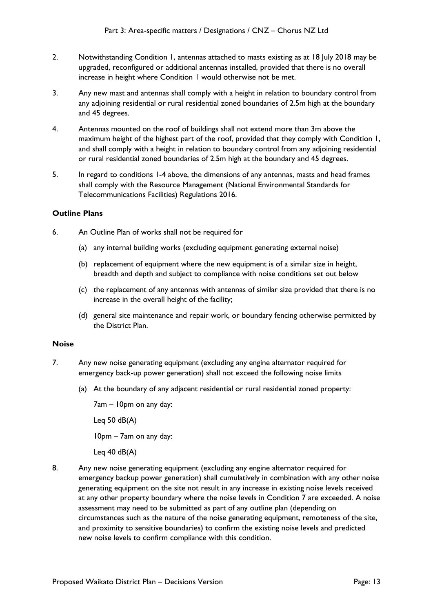- 2. Notwithstanding Condition 1, antennas attached to masts existing as at 18 July 2018 may be upgraded, reconfigured or additional antennas installed, provided that there is no overall increase in height where Condition 1 would otherwise not be met.
- 3. Any new mast and antennas shall comply with a height in relation to boundary control from any adjoining residential or rural residential zoned boundaries of 2.5m high at the boundary and 45 degrees.
- 4. Antennas mounted on the roof of buildings shall not extend more than 3m above the maximum height of the highest part of the roof, provided that they comply with Condition 1, and shall comply with a height in relation to boundary control from any adjoining residential or rural residential zoned boundaries of 2.5m high at the boundary and 45 degrees.
- 5. In regard to conditions 1-4 above, the dimensions of any antennas, masts and head frames shall comply with the Resource Management (National Environmental Standards for Telecommunications Facilities) Regulations 2016.

## **Outline Plans**

- 6. An Outline Plan of works shall not be required for
	- (a) any internal building works (excluding equipment generating external noise)
	- (b) replacement of equipment where the new equipment is of a similar size in height, breadth and depth and subject to compliance with noise conditions set out below
	- (c) the replacement of any antennas with antennas of similar size provided that there is no increase in the overall height of the facility;
	- (d) general site maintenance and repair work, or boundary fencing otherwise permitted by the District Plan.

## **Noise**

- 7. Any new noise generating equipment (excluding any engine alternator required for emergency back-up power generation) shall not exceed the following noise limits
	- (a) At the boundary of any adjacent residential or rural residential zoned property:

7am – 10pm on any day: Leg  $50$  dB(A) 10pm – 7am on any day: Leg  $40$  dB(A)

8. Any new noise generating equipment (excluding any engine alternator required for emergency backup power generation) shall cumulatively in combination with any other noise generating equipment on the site not result in any increase in existing noise levels received at any other property boundary where the noise levels in Condition 7 are exceeded. A noise assessment may need to be submitted as part of any outline plan (depending on circumstances such as the nature of the noise generating equipment, remoteness of the site, and proximity to sensitive boundaries) to confirm the existing noise levels and predicted new noise levels to confirm compliance with this condition.